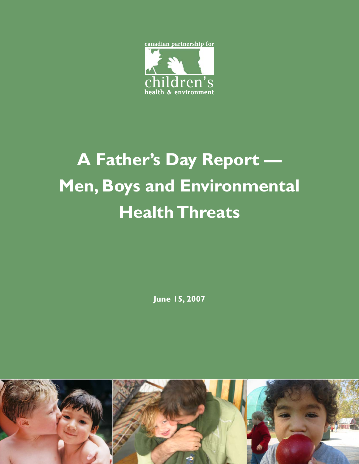

# **A Father's Day Report — Men, Boys and Environmental Health Threats**

**June 15, 2007**

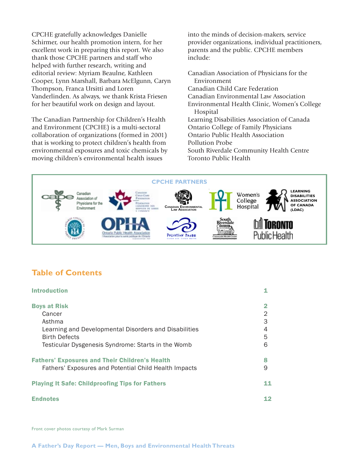CPCHE gratefully acknowledges Danielle Schirmer, our health promotion intern, for her excellent work in preparing this report. We also thank those CPCHE partners and staff who helped with further research, writing and editorial review: Myriam Beaulne, Kathleen Cooper, Lynn Marshall, Barbara McElgunn, Caryn Thompson, Franca Ursitti and Loren Vanderlinden. As always, we thank Krista Friesen for her beautiful work on design and layout.

The Canadian Partnership for Children's Health and Environment (CPCHE) is a multi-sectoral collaboration of organizations (formed in 2001) that is working to protect children's health from environmental exposures and toxic chemicals by moving children's environmental health issues

into the minds of decision-makers, service provider organizations, individual practitioners, parents and the public. CPCHE members include:

- Canadian Association of Physicians for the Environment Canadian Child Care Federation
- 
- Canadian Environmental Law Association
- Environmental Health Clinic, Women's College Hospital
- Learning Disabilities Association of Canada Ontario College of Family Physicians Ontario Public Health Association Pollution Probe
- South Riverdale Community Health Centre Toronto Public Health



#### **Table of Contents**

| <b>Introduction</b>                                                                                            |        |
|----------------------------------------------------------------------------------------------------------------|--------|
| <b>Boys at Risk</b>                                                                                            | 2      |
| Cancer                                                                                                         | 2      |
| Asthma                                                                                                         | 3      |
| Learning and Developmental Disorders and Disabilities<br><b>Birth Defects</b>                                  | 4<br>5 |
| Testicular Dysgenesis Syndrome: Starts in the Womb                                                             | 6      |
| <b>Fathers' Exposures and Their Children's Health</b><br>Fathers' Exposures and Potential Child Health Impacts | 8<br>9 |
| <b>Playing It Safe: Childproofing Tips for Fathers</b>                                                         | 11     |
| <b>Endnotes</b>                                                                                                | 12     |

Front cover photos courtesy of Mark Surman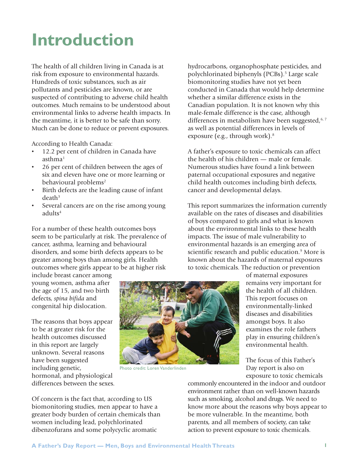### **Introduction**

The health of all children living in Canada is at risk from exposure to environmental hazards. Hundreds of toxic substances, such as air pollutants and pesticides are known, or are suspected of contributing to adverse child health outcomes. Much remains to be understood about environmental links to adverse health impacts. In the meantime, it is better to be safe than sorry. Much can be done to reduce or prevent exposures.

According to Health Canada:

- 12.2 per cent of children in Canada have  $a$ sthma $1$
- 26 per cent of children between the ages of six and eleven have one or more learning or behavioural problems<sup>2</sup>
- Birth defects are the leading cause of infant  $death<sup>3</sup>$
- Several cancers are on the rise among young adults<sup>4</sup>

For a number of these health outcomes boys seem to be particularly at risk. The prevalence of cancer, asthma, learning and behavioural disorders, and some birth defects appears to be greater among boys than among girls. Health outcomes where girls appear to be at higher risk

include breast cancer among young women, asthma after the age of 15, and two birth defects, *spina bifida* and congenital hip dislocation.

The reasons that boys appear to be at greater risk for the health outcomes discussed in this report are largely unknown. Several reasons have been suggested including genetic, hormonal, and physiological differences between the sexes.



Photo credit: Loren Vanderlinden

hydrocarbons, organophosphate pesticides, and polychlorinated biphenyls (PCBs).<sup>5</sup> Large scale biomonitoring studies have not yet been conducted in Canada that would help determine whether a similar difference exists in the Canadian population. It is not known why this male-female difference is the case, although differences in metabolism have been suggested, 6, 7 as well as potential differences in levels of exposure (e.g., through work).<sup>8</sup>

A father's exposure to toxic chemicals can affect the health of his children — male or female. Numerous studies have found a link between paternal occupational exposures and negative child health outcomes including birth defects, cancer and developmental delays.

This report summarizes the information currently available on the rates of diseases and disabilities of boys compared to girls and what is known about the environmental links to these health impacts. The issue of male vulnerability to environmental hazards is an emerging area of scientific research and public education.<sup>9</sup> More is known about the hazards of maternal exposures to toxic chemicals. The reduction or prevention

of maternal exposures remains very important for the health of all children. This report focuses on environmentally-linked diseases and disabilities amongst boys. It also examines the role fathers play in ensuring children's environmental health.

The focus of this Father's Day report is also on exposure to toxic chemicals

commonly encountered in the indoor and outdoor environment rather than on well-known hazards such as smoking, alcohol and drugs. We need to know more about the reasons why boys appear to be more vulnerable. In the meantime, both parents, and all members of society, can take action to prevent exposure to toxic chemicals.

Of concern is the fact that, according to US biomonitoring studies, men appear to have a greater body burden of certain chemicals than women including lead, polychlorinated dibenzofurans and some polycyclic aromatic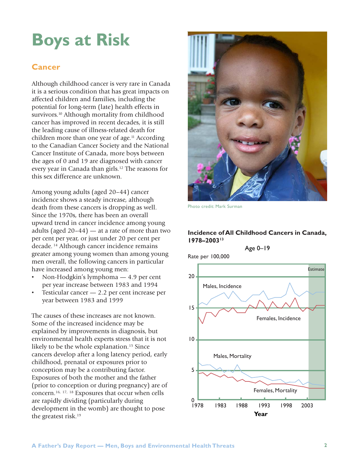### **Boys at Risk**

#### **Cancer**

Although childhood cancer is very rare in Canada it is a serious condition that has great impacts on affected children and families, including the potential for long-term (late) health effects in survivors.<sup>10</sup> Although mortality from childhood cancer has improved in recent decades, it is still the leading cause of illness-related death for children more than one year of age.<sup>11</sup> According to the Canadian Cancer Society and the National Cancer Institute of Canada, more boys between the ages of 0 and 19 are diagnosed with cancer every year in Canada than girls.<sup>12</sup> The reasons for this sex difference are unknown.

Among young adults (aged 20–44) cancer incidence shows a steady increase, although death from these cancers is dropping as well. Since the 1970s, there has been an overall upward trend in cancer incidence among young adults (aged  $20-44$ ) — at a rate of more than two per cent per year, or just under 20 per cent per decade. 14 Although cancer incidence remains greater among young women than among young men overall, the following cancers in particular have increased among young men:

- Non-Hodgkin's lymphoma 4.9 per cent per year increase between 1983 and 1994
- Testicular cancer  $-2.2$  per cent increase per year between 1983 and 1999

The causes of these increases are not known. Some of the increased incidence may be explained by improvements in diagnosis, but environmental health experts stress that it is not likely to be the whole explanation.<sup>15</sup> Since cancers develop after a long latency period, early childhood, prenatal or exposures prior to conception may be a contributing factor. Exposures of both the mother and the father (prior to conception or during pregnancy) are of concern.16, 17, 18 Exposures that occur when cells are rapidly dividing (particularly during development in the womb) are thought to pose the greatest risk.19



Photo credit: Mark Surman

#### **Incidence of All Childhood Cancers in Canada, 1978–200313**

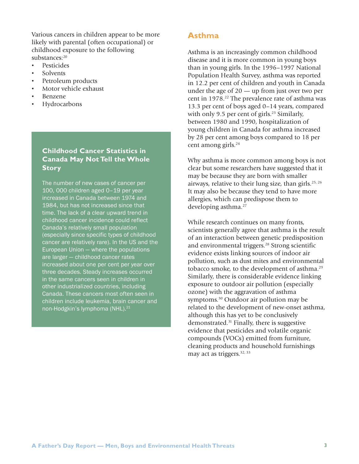Various cancers in children appear to be more likely with parental (often occupational) or childhood exposure to the following substances:20

- Pesticides
- Solvents
- Petroleum products
- Motor vehicle exhaust
- Benzene
- Hydrocarbons

#### **Childhood Cancer Statistics in Canada May Not Tell the Whole Story**

The number of new cases of cancer per 100, 000 children aged 0–19 per year increased in Canada between 1974 and 1984, but has not increased since that time. The lack of a clear upward trend in childhood cancer incidence could reflect Canada's relatively small population (especially since specific types of childhood cancer are relatively rare). In the US and the European Union — where the populations are larger — childhood cancer rates increased about one per cent per year over three decades. Steady increases occurred in the same cancers seen in children in other industrialized countries, including Canada. These cancers most often seen in children include leukemia, brain cancer and non-Hodgkin's lymphoma (NHL).<sup>21</sup>

#### **Asthma**

Asthma is an increasingly common childhood disease and it is more common in young boys than in young girls. In the 1996–1997 National Population Health Survey, asthma was reported in 12.2 per cent of children and youth in Canada under the age of 20 — up from just over two per cent in 1978.<sup>22</sup> The prevalence rate of asthma was 13.3 per cent of boys aged 0–14 years, compared with only 9.5 per cent of girls.<sup>23</sup> Similarly, between 1980 and 1990, hospitalization of young children in Canada for asthma increased by 28 per cent among boys compared to 18 per cent among girls.<sup>24</sup>

Why asthma is more common among boys is not clear but some researchers have suggested that it may be because they are born with smaller airways, relative to their lung size, than girls.25, 26 It may also be because they tend to have more allergies, which can predispose them to developing asthma.<sup>27</sup>

While research continues on many fronts, scientists generally agree that asthma is the result of an interaction between genetic predisposition and environmental triggers.28 Strong scientific evidence exists linking sources of indoor air pollution, such as dust mites and environmental tobacco smoke, to the development of asthma.<sup>29</sup> Similarly, there is considerable evidence linking exposure to outdoor air pollution (especially ozone) with the aggravation of asthma symptoms.30 Outdoor air pollution may be related to the development of new-onset asthma, although this has yet to be conclusively demonstrated.31 Finally, there is suggestive evidence that pesticides and volatile organic compounds (VOCs) emitted from furniture, cleaning products and household furnishings may act as triggers.<sup>32, 33</sup>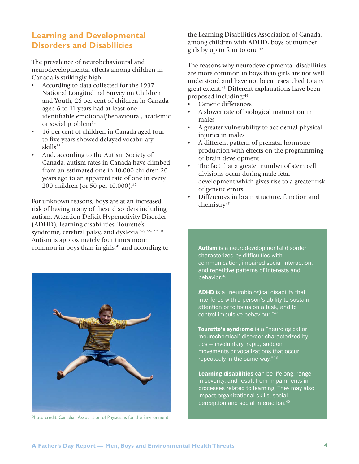#### **Learning and Developmental Disorders and Disabilities**

The prevalence of neurobehavioural and neurodevelopmental effects among children in Canada is strikingly high:

- According to data collected for the 1997 National Longitudinal Survey on Children and Youth, 26 per cent of children in Canada aged 6 to 11 years had at least one identifiable emotional/behavioural, academic or social problem<sup>34</sup>
- 16 per cent of children in Canada aged four to five years showed delayed vocabulary skills<sup>35</sup>
- And, according to the Autism Society of Canada, autism rates in Canada have climbed from an estimated one in 10,000 children 20 years ago to an apparent rate of one in every 200 children (or 50 per 10,000).36

For unknown reasons, boys are at an increased risk of having many of these disorders including autism, Attention Deficit Hyperactivity Disorder (ADHD), learning disabilities, Tourette's syndrome, cerebral palsy, and dyslexia.<sup>37, 38, 39, 40</sup> Autism is approximately four times more common in boys than in girls,<sup>41</sup> and according to



Photo credit: Canadian Association of Physicians for the Environment

the Learning Disabilities Association of Canada, among children with ADHD, boys outnumber girls by up to four to one.<sup>42</sup>

The reasons why neurodevelopmental disabilities are more common in boys than girls are not well understood and have not been researched to any great extent.43 Different explanations have been proposed including:44

- Genetic differences
- A slower rate of biological maturation in males
- A greater vulnerability to accidental physical injuries in males
- A different pattern of prenatal hormone production with effects on the programming of brain development
- The fact that a greater number of stem cell divisions occur during male fetal development which gives rise to a greater risk of genetic errors
- Differences in brain structure, function and chemistry<sup>45</sup>

Autism is a neurodevelopmental disorder characterized by difficulties with communication, impaired social interaction, and repetitive patterns of interests and behavior.46

**ADHD** is a "neurobiological disability that interferes with a person's ability to sustain attention or to focus on a task, and to control impulsive behaviour."47

Tourette's syndrome is a "neurological or 'neurochemical' disorder characterized by tics — involuntary, rapid, sudden movements or vocalizations that occur repeatedly in the same way."48

Learning disabilities can be lifelong, range in severity, and result from impairments in processes related to learning. They may also impact organizational skills, social perception and social interaction.49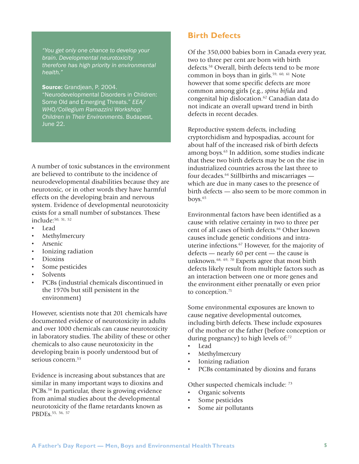*"You get only one chance to develop your brain. Developmental neurotoxicity therefore has high priority in environmental health."*

Source: Grandjean, P. 2004. "Neurodevelopmental Disorders in Children: Some Old and Emerging Threats." *EEA/ WHO/Collegium Ramazzini Workshop: Children in Their Environments*. Budapest, June 22.

A number of toxic substances in the environment are believed to contribute to the incidence of neurodevelopmental disabilities because they are neurotoxic, or in other words they have harmful effects on the developing brain and nervous system. Evidence of developmental neurotoxicity exists for a small number of substances. These include:50, 51, <sup>52</sup>

- Lead
- **Methylmercury**
- **Arsenic**
- Ionizing radiation
- Dioxins
- Some pesticides
- **Solvents**
- PCBs (industrial chemicals discontinued in the 1970s but still persistent in the environment)

However, scientists note that 201 chemicals have documented evidence of neurotoxicity in adults and over 1000 chemicals can cause neurotoxicity in laboratory studies. The ability of these or other chemicals to also cause neurotoxicity in the developing brain is poorly understood but of serious concern.<sup>53</sup>

Evidence is increasing about substances that are similar in many important ways to dioxins and PCBs.<sup>54</sup> In particular, there is growing evidence from animal studies about the developmental neurotoxicity of the flame retardants known as PBDEs. 55, 56, 57

#### **Birth Defects**

Of the 350,000 babies born in Canada every year, two to three per cent are born with birth defects.<sup>58</sup> Overall, birth defects tend to be more common in boys than in girls.<sup>59, 60, 61</sup> Note however that some specific defects are more common among girls (e.g., *spina bifida* and congenital hip dislocation.62 Canadian data do not indicate an overall upward trend in birth defects in recent decades.

Reproductive system defects, including cryptorchidism and hypospadias, account for about half of the increased risk of birth defects among boys.<sup>63</sup> In addition, some studies indicate that these two birth defects may be on the rise in industrialized countries across the last three to four decades. $64$  Stillbirths and miscarriages  $$ which are due in many cases to the presence of birth defects — also seem to be more common in boys.<sup>65</sup>

Environmental factors have been identified as a cause with relative certainty in two to three per cent of all cases of birth defects.<sup>66</sup> Other known causes include genetic conditions and intrauterine infections.67 However, for the majority of defects — nearly 60 per cent — the cause is unknown.<sup>68, 69, 70</sup> Experts agree that most birth defects likely result from multiple factors such as an interaction between one or more genes and the environment either prenatally or even prior to conception.<sup>71</sup>

Some environmental exposures are known to cause negative developmental outcomes, including birth defects. These include exposures of the mother or the father (before conception or during pregnancy) to high levels of:<sup>72</sup>

- Lead
- Methylmercury
- Ionizing radiation
- PCBs contaminated by dioxins and furans

Other suspected chemicals include: 73

- Organic solvents
- Some pesticides
- Some air pollutants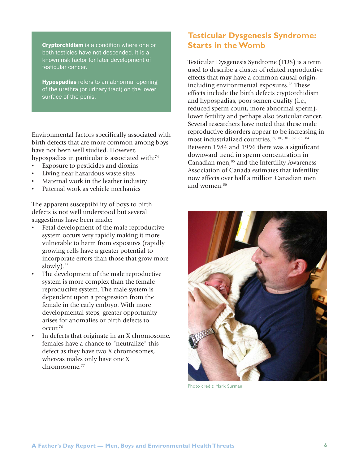**Cryptorchidism** is a condition where one or both testicles have not descended. It is a known risk factor for later development of testicular cancer.

**Hypospadias** refers to an abnormal opening of the urethra (or urinary tract) on the lower surface of the penis.

Environmental factors specifically associated with birth defects that are more common among boys have not been well studied. However, hypospadias in particular is associated with:<sup>74</sup>

- Exposure to pesticides and dioxins
- Living near hazardous waste sites
- Maternal work in the leather industry
- Paternal work as vehicle mechanics

The apparent susceptibility of boys to birth defects is not well understood but several suggestions have been made:

- Fetal development of the male reproductive system occurs very rapidly making it more vulnerable to harm from exposures (rapidly growing cells have a greater potential to incorporate errors than those that grow more slowly).<sup>75</sup>
- The development of the male reproductive system is more complex than the female reproductive system. The male system is dependent upon a progression from the female in the early embryo. With more developmental steps, greater opportunity arises for anomalies or birth defects to occur.76
- In defects that originate in an X chromosome, females have a chance to "neutralize" this defect as they have two X chromosomes, whereas males only have one X chromosome.77

#### **Testicular Dysgenesis Syndrome: Starts in the Womb**

Testicular Dysgenesis Syndrome (TDS) is a term used to describe a cluster of related reproductive effects that may have a common causal origin, including environmental exposures.<sup>78</sup> These effects include the birth defects cryptorchidism and hypospadias, poor semen quality (i.e., reduced sperm count, more abnormal sperm), lower fertility and perhaps also testicular cancer. Several researchers have noted that these male reproductive disorders appear to be increasing in most industrialized countries.79, 80, 81, 82, 83, <sup>84</sup> Between 1984 and 1996 there was a significant downward trend in sperm concentration in Canadian men,<sup>85</sup> and the Infertility Awareness Association of Canada estimates that infertility now affects over half a million Canadian men and women.<sup>86</sup>



Photo credit: Mark Surman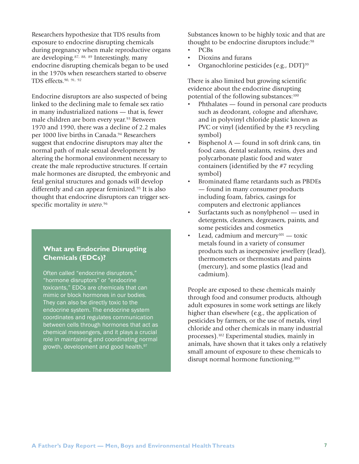Researchers hypothesize that TDS results from exposure to endocrine disrupting chemicals during pregnancy when male reproductive organs are developing.87, 88, 89 Interestingly, many endocrine disrupting chemicals began to be used in the 1970s when researchers started to observe TDS effects.90, 91, <sup>92</sup>

Endocrine disruptors are also suspected of being linked to the declining male to female sex ratio in many industrialized nations — that is, fewer male children are born every year.<sup>93</sup> Between 1970 and 1990, there was a decline of 2.2 males per 1000 live births in Canada.<sup>94</sup> Researchers suggest that endocrine disruptors may alter the normal path of male sexual development by altering the hormonal environment necessary to create the male reproductive structures. If certain male hormones are disrupted, the embryonic and fetal genital structures and gonads will develop differently and can appear feminized.<sup>95</sup> It is also thought that endocrine disruptors can trigger sexspecific mortality *in utero*. 96

#### **What are Endocrine Disrupting Chemicals (EDCs)?**

Often called "endocrine disruptors," "hormone disruptors" or "endocrine toxicants," EDCs are chemicals that can mimic or block hormones in our bodies. They can also be directly toxic to the endocrine system. The endocrine system coordinates and regulates communication between cells through hormones that act as chemical messengers, and it plays a crucial role in maintaining and coordinating normal growth, development and good health.<sup>97</sup>

Substances known to be highly toxic and that are thought to be endocrine disruptors include:<sup>98</sup>

- PCBs
- Dioxins and furans
- Organochlorine pesticides (e.g.,  $DDT$ )<sup>99</sup>

There is also limited but growing scientific evidence about the endocrine disrupting potential of the following substances:<sup>100</sup>

- Phthalates found in personal care products such as deodorant, cologne and aftershave, and in polyvinyl chloride plastic known as PVC or vinyl (identified by the #3 recycling symbol)
- Bisphenol  $A$  found in soft drink cans, tin food cans, dental sealants, resins, dyes and polycarbonate plastic food and water containers (identified by the #7 recycling symbol)
- Brominated flame retardants such as PBDEs — found in many consumer products including foam, fabrics, casings for computers and electronic appliances
- Surfactants such as nonylphenol used in detergents, cleaners, degreasers, paints, and some pesticides and cosmetics
- Lead, cadmium and mercury<sup>101</sup> toxic metals found in a variety of consumer products such as inexpensive jewellery (lead), thermometers or thermostats and paints (mercury), and some plastics (lead and cadmium).

People are exposed to these chemicals mainly through food and consumer products, although adult exposures in some work settings are likely higher than elsewhere (e.g., the application of pesticides by farmers, or the use of metals, vinyl chloride and other chemicals in many industrial processes).102 Experimental studies, mainly in animals, have shown that it takes only a relatively small amount of exposure to these chemicals to disrupt normal hormone functioning.<sup>103</sup>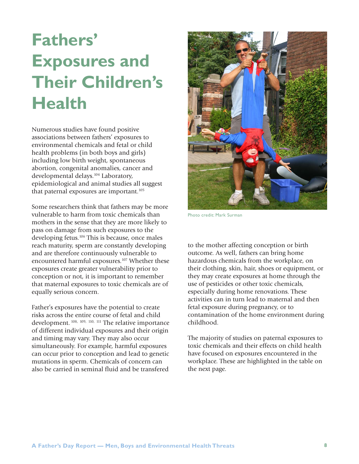### **Fathers' Exposures and Their Children's Health**

Numerous studies have found positive associations between fathers' exposures to environmental chemicals and fetal or child health problems (in both boys and girls) including low birth weight, spontaneous abortion, congenital anomalies, cancer and developmental delays.<sup>104</sup> Laboratory, epidemiological and animal studies all suggest that paternal exposures are important.<sup>105</sup>

Some researchers think that fathers may be more vulnerable to harm from toxic chemicals than mothers in the sense that they are more likely to pass on damage from such exposures to the developing fetus.<sup>106</sup> This is because, once males reach maturity, sperm are constantly developing and are therefore continuously vulnerable to encountered harmful exposures.<sup>107</sup> Whether these exposures create greater vulnerability prior to conception or not, it is important to remember that maternal exposures to toxic chemicals are of equally serious concern.

Father's exposures have the potential to create risks across the entire course of fetal and child development. 108, 109, 110, 111 The relative importance of different individual exposures and their origin and timing may vary. They may also occur simultaneously. For example, harmful exposures can occur prior to conception and lead to genetic mutations in sperm. Chemicals of concern can also be carried in seminal fluid and be transfered



Photo credit: Mark Surman

to the mother affecting conception or birth outcome. As well, fathers can bring home hazardous chemicals from the workplace, on their clothing, skin, hair, shoes or equipment, or they may create exposures at home through the use of pesticides or other toxic chemicals, especially during home renovations. These activities can in turn lead to maternal and then fetal exposure during pregnancy, or to contamination of the home environment during childhood.

The majority of studies on paternal exposures to toxic chemicals and their effects on child health have focused on exposures encountered in the workplace. These are highlighted in the table on the next page.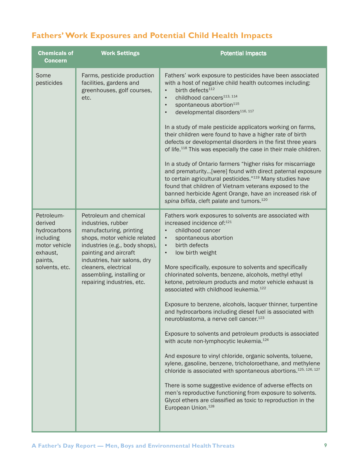### **Fathers' Work Exposures and Potential Child Health Impacts**

| <b>Chemicals of</b><br><b>Concern</b>                                                                        | <b>Work Settings</b>                                                                                                                                                                                                                                                                  | <b>Potential Impacts</b>                                                                                                                                                                                                                                                                                                                                                                                                                                                                                                                                                                                                                                                                                                                                                                                                                                                                                                                                                                                                                                                                                                                                                                                              |
|--------------------------------------------------------------------------------------------------------------|---------------------------------------------------------------------------------------------------------------------------------------------------------------------------------------------------------------------------------------------------------------------------------------|-----------------------------------------------------------------------------------------------------------------------------------------------------------------------------------------------------------------------------------------------------------------------------------------------------------------------------------------------------------------------------------------------------------------------------------------------------------------------------------------------------------------------------------------------------------------------------------------------------------------------------------------------------------------------------------------------------------------------------------------------------------------------------------------------------------------------------------------------------------------------------------------------------------------------------------------------------------------------------------------------------------------------------------------------------------------------------------------------------------------------------------------------------------------------------------------------------------------------|
| Some<br>pesticides                                                                                           | Farms, pesticide production<br>facilities, gardens and<br>greenhouses, golf courses,<br>etc.                                                                                                                                                                                          | Fathers' work exposure to pesticides have been associated<br>with a host of negative child health outcomes including:<br>birth defects <sup>112</sup><br>$\bullet$<br>childhood cancers <sup>113, 114</sup><br>$\bullet$<br>spontaneous abortion <sup>115</sup><br>$\bullet$<br>developmental disorders <sup>116, 117</sup><br>$\bullet$<br>In a study of male pesticide applicators working on farms,<br>their children were found to have a higher rate of birth<br>defects or developmental disorders in the first three years<br>of life. <sup>118</sup> This was especially the case in their male children.<br>In a study of Ontario farmers "higher risks for miscarriage<br>and prematurity[were] found with direct paternal exposure<br>to certain agricultural pesticides."119 Many studies have<br>found that children of Vietnam veterans exposed to the<br>banned herbicide Agent Orange, have an increased risk of<br>spina bifida, cleft palate and tumors. <sup>120</sup>                                                                                                                                                                                                                             |
| Petroleum-<br>derived<br>hydrocarbons<br>including<br>motor vehicle<br>exhaust,<br>paints,<br>solvents, etc. | Petroleum and chemical<br>industries, rubber<br>manufacturing, printing<br>shops, motor vehicle related<br>industries (e.g., body shops),<br>painting and aircraft<br>industries, hair salons, dry<br>cleaners, electrical<br>assembling, installing or<br>repairing industries, etc. | Fathers work exposures to solvents are associated with<br>increased incidence of: <sup>121</sup><br>childhood cancer<br>$\bullet$<br>spontaneous abortion<br>$\bullet$<br>birth defects<br>$\bullet$<br>low birth weight<br>$\bullet$<br>More specifically, exposure to solvents and specifically<br>chlorinated solvents, benzene, alcohols, methyl ethyl<br>ketone, petroleum products and motor vehicle exhaust is<br>associated with childhood leukemia. <sup>122</sup><br>Exposure to benzene, alcohols, lacquer thinner, turpentine<br>and hydrocarbons including diesel fuel is associated with<br>neuroblastoma, a nerve cell cancer. <sup>123</sup><br>Exposure to solvents and petroleum products is associated<br>with acute non-lymphocytic leukemia. <sup>124</sup><br>And exposure to vinyl chloride, organic solvents, toluene,<br>xylene, gasoline, benzene, tricholoroethane, and methylene<br>chloride is associated with spontaneous abortions. <sup>125, 126, 127</sup><br>There is some suggestive evidence of adverse effects on<br>men's reproductive functioning from exposure to solvents.<br>Glycol ethers are classified as toxic to reproduction in the<br>European Union. <sup>128</sup> |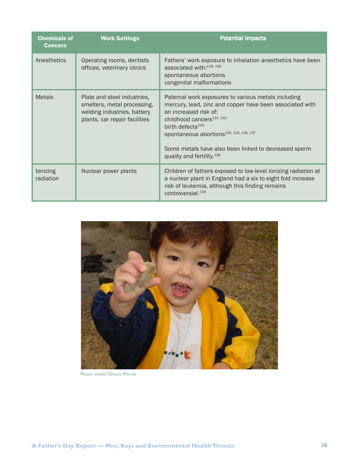| <b>Chemicals of</b><br><b>Concern</b> | <b>Work Settings</b>                                                                                                       | <b>Potential Impacts</b>                                                                                                                                                                                                                                                                                                                                                  |
|---------------------------------------|----------------------------------------------------------------------------------------------------------------------------|---------------------------------------------------------------------------------------------------------------------------------------------------------------------------------------------------------------------------------------------------------------------------------------------------------------------------------------------------------------------------|
| Anesthetics                           | Operating rooms, dentists<br>offices, veterinary clinics                                                                   | Fathers' work exposure to inhalation anesthetics have been<br>associated with: 129, 130<br>spontaneous abortions<br>congenital malformations                                                                                                                                                                                                                              |
| <b>Metals</b>                         | Plate and steel industries,<br>smelters, metal processing,<br>welding industries, battery<br>plants, car repair facilities | Paternal work exposures to various metals including<br>mercury, lead, zinc and copper have been associated with<br>an increased risk of:<br>childhood cancers <sup>131, 132</sup><br>birth defects <sup>133</sup><br>spontaneous abortions <sup>134, 135, 136, 137</sup><br>Some metals have also been linked to decreased sperm<br>quality and fertility. <sup>138</sup> |
| lonizing<br>radiation                 | Nuclear power plants                                                                                                       | Children of fathers exposed to low-level ionizing radiation at<br>a nuclear plant in England had a six to eight fold increase<br>risk of leukemia, although this finding remains<br>controversial. <sup>139</sup>                                                                                                                                                         |



Photo credit: Tatiana Morita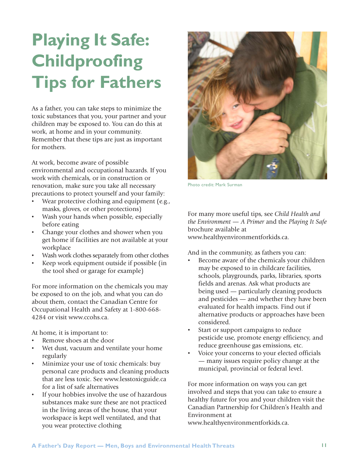### **A Father's Day Report — Men, Boys and Environmental Health Threats 11**

## **Playing It Safe: Childproofing Tips for Fathers**

As a father, you can take steps to minimize the toxic substances that you, your partner and your children may be exposed to. You can do this at work, at home and in your community. Remember that these tips are just as important for mothers.

At work, become aware of possible environmental and occupational hazards. If you work with chemicals, or in construction or renovation, make sure you take all necessary precautions to protect yourself and your family:

- Wear protective clothing and equipment (e.g., masks, gloves, or other protections)
- Wash your hands when possible, especially before eating
- Change your clothes and shower when you get home if facilities are not available at your workplace
- Wash work clothes separately from other clothes
- Keep work equipment outside if possible (in the tool shed or garage for example)

For more information on the chemicals you may be exposed to on the job, and what you can do about them, contact the Canadian Centre for Occupational Health and Safety at 1-800-668- 4284 or visit www.ccohs.ca.

At home, it is important to:

- Remove shoes at the door
- Wet dust, vacuum and ventilate your home regularly
- Minimize your use of toxic chemicals: buy personal care products and cleaning products that are less toxic. See www.lesstoxicguide.ca for a list of safe alternatives
- If your hobbies involve the use of hazardous substances make sure these are not practiced in the living areas of the house, that your workspace is kept well ventilated, and that you wear protective clothing

For many more useful tips, see *Child Health and the Environment — A Primer* and the *Playing It Safe* brochure available at www.healthyenvironmentforkids.ca.

And in the community, as fathers you can:

- Become aware of the chemicals your children may be exposed to in childcare facilities, schools, playgrounds, parks, libraries, sports fields and arenas. Ask what products are being used — particularly cleaning products and pesticides — and whether they have been evaluated for health impacts. Find out if alternative products or approaches have been considered.
- Start or support campaigns to reduce pesticide use, promote energy efficiency, and reduce greenhouse gas emissions, etc.
- Voice your concerns to your elected officials — many issues require policy change at the municipal, provincial or federal level.

For more information on ways you can get involved and steps that you can take to ensure a healthy future for you and your children visit the Canadian Partnership for Children's Health and Environment at www.healthyenvironmentforkids.ca.



Photo credit: Mark Surman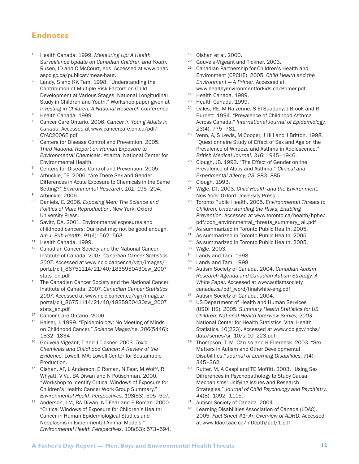#### **Endnotes**

- <sup>1</sup> Health Canada. 1999. *Measuring Up: A Health Surveillance Update on Canadian Children and Youth.* Rusen, ID and C McCourt, eds. Accessed at www.phacaspc.gc.ca/publicat/meas-haut.
- <sup>2</sup> Landy, S and KK Tam. 1998. "Understanding the Contribution of Multiple Risk Factors on Child Development at Various Stages. National Longitudinal Study in Children and Youth." Workshop paper given at *Investing in Children, A National Research Conference*.
- <sup>3</sup> Health Canada. 1999.
- <sup>4</sup> Cancer Care Ontario. 2006. *Cancer in Young Adults in Canada.* Accessed at www.cancercare.on.ca/pdf/ CYAC2006E.pdf
- <sup>5</sup> Centers for Disease Control and Prevention. 2005. *Third National Report on Human Exposure to Environmental Chemicals.* Atlanta: National Center for Environmental Health.
- <sup>6</sup> Centers for Disease Control and Prevention. 2005.
- Arbuckle, TE. 2006. "Are There Sex and Gender Differences in Acute Exposure to Chemicals in the Same Setting?" *Environmental Research, 101*: 195–204.
- Arbuckle. 2006.
- <sup>9</sup> Daniels, C. 2006. *Exposing Men: The Science and Politics of Male Reproduction*. New York: Oxford University Press.
- <sup>10</sup> Savitz, DA. 2001. Environmental exposures and childhood cancers: Our best may not be good enough. *Am J. Pub Health, 91*(4): 562–563.
- <sup>11</sup> Health Canada. 1999.
- <sup>12</sup> Canadian Cancer Society and the National Cancer Institute of Canada. 2007. *Canadian Cancer Statistics 2007*. Accessed at www.ncic.cancer.ca/vgn/images/ portal/cit\_86751114/21/40/1835950430cw\_2007 stats\_en.pdf
- <sup>13</sup> The Canadian Cancer Society and the National Cancer Institute of Canada. 2007. *Canadian Cancer Statistics 2007*. Accessed at www.ncic.cancer.ca/vgn/images/ portal/cit\_86751114/21/40/1835950430cw\_2007 stats\_en.pdf
- <sup>14</sup> Cancer Care Ontario. 2006.
- Kaiser, J. 1999. "Epidemiology: No Meeting of Minds on Childhood Cancer." *Science Magazine, 286*(5446): 1832–1834
- <sup>16</sup> Gouveia-Vigeant, T and J Tickner. 2003. *Toxic Chemicals and Childhood Cancer: A Review of the Evidence.* Lowell, MA: Lowell Center for Sustainable Production.
- 0Ishan, AF, L Anderson, E Roman, N Fear, M Wolff, R Whyatt, V Vu, BA Diwan and N Potischman. 2000. "Workshop to Identify Critical Windows of Exposure for Children's Health: Cancer Work Group Summary." *Environmental Health Perspectives, 108*(S3): 595–597.
- 18 Anderson, LM, BA Diwan, NT Fear and E Roman. 2000. "Critical Windows of Exposure for Children's Health: Cancer in Human Epidemiological Studies and Neoplasms in Experimental Animal Models." *Environmental Health Perspectives,* 108(S3): 573–594.
- $19$  Olshan et al. 2000.
- <sup>20</sup> Gouveia-Vigeant and Tickner. 2003.
- Canadian Partnership for Children's Health and Environment (CPCHE). 2005. *Child Health and the Environment — A Primer*. Accessed at www.healthyenvironmentforkids.ca/Primer.pdf
- <sup>22</sup> Health Canada. 1999.
- <sup>23</sup> Health Canada. 1999.
- Dales, RE, M Raizenne, S El-Saadany, J Brook and R Burnett. 1994. "Prevalence of Childhood Asthma Across Canada." *International Journal of Epidemiology, 23*(4): 775–781.
- <sup>25</sup> Venn, A, S Lewis, M Cooper, J Hill and J Britton. 1998. "Questionnaire Study of Effect of Sex and Age on the Prevalence of Wheeze and Asthma in Adolescence." *British Medical Journal, 316*: 1945–1946.
- <sup>26</sup> Clough, JB. 1993. "The Effect of Gender on the Prevalence of Atopy and Asthma." *Clinical and Experimental Allergy, 23*: 883–885.
- <sup>27</sup> Clough. 1993.
- <sup>28</sup> Wigle, DT. 2003. *Child Health and the Environment*. New York: Oxford University Press.
- <sup>29</sup> Toronto Public Health. 2005. *Environmental Threats to Children, Understanding the Risks, Enabling Prevention.* Accessed at www.toronto.ca/health/hphe/ pdf/boh\_environmental\_threats\_summary\_ all.pdf
- <sup>30</sup> As summarized in Toronto Public Health. 2005.
- <sup>31</sup> As summarized in Toronto Public Health, 2005.
- <sup>32</sup> As summarized in Toronto Public Health. 2005.<br><sup>33</sup> Migle 2002
- $33$  Wigle. 2003.
- Landy and Tam. 1998.
- $35$  Landy and Tam. 1998.<br> $36$  Autism Society of Cana
- <sup>36</sup> Autism Society of Canada. 2004. *Canadian Autism Research Agenda and Canadian Autism Strategy. A White Paper.* Accessed at www.autismsociety canada.ca/pdf\_word/finalwhite-eng.pdf.
- <sup>37</sup> Autism Society of Canada. 2004.
- US Department of Health and Human Services (USDHHS). 2005. *Summary Health Statistics for US Children: National Health Interview Survey, 2003.* National Center for Health Statistics. Vital Health Statistics. 10(223). Accessed at www.cdc.gov/nchs/ data/series/sr\_10/sr10\_223.pdf.
- 39 Thompson, T, M. Caruso and K Ellerbeck. 2003. "Sex Matters in Autism and Other Developmental Disabilities." *Journal of Learning Disabilities, 7*(4): 345–362.
- <sup>40</sup> Rutter, M, A Caspi and TE Moffitt. 2003. "Using Sex Differences in Psychopathology to Study Causal Mechanisms: Unifying Issues and Research Strategies." *Journal of Child Psychology and Psychiatry, 44*(8): 1092–1115.
- 41 Autism Society of Canada. 2004.
- Learning Disabilities Association of Canada (LDAC). 2005. *Fact Sheet #1: An Overview of ADHD.* Accessed at www.ldac-taac.ca/InDepth/pdf/1.pdf.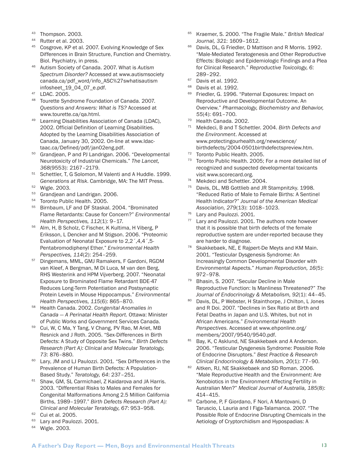- <sup>43</sup> Thompson, 2003.
- <sup>44</sup> Rutter et al. 2003.
- <sup>45</sup> Cosgrove, KP et al. 2007. Evolving Knowledge of Sex Differences in Brain Structure, Function and Chemistry. Biol. Psychiatry, in press.
- <sup>46</sup> Autism Society of Canada. 2007. What is *Autism Spectrum Disorder?* Accessed at www.autismsociety canada.ca/pdf\_word/info\_ASC%27swhatisautism infosheet\_19\_04\_07\_e.pdf.
- <sup>47</sup> LDAC. 2005.
- <sup>48</sup> Tourette Syndrome Foundation of Canada. 2007. *Questions and Answers: What is TS?* Accessed at www.tourette.ca/qa.html.
- <sup>49</sup> Learning Disabilities Association of Canada (LDAC), 2002. Official Definition of Learning Disabilities. Adopted by the Learning Disabilities Association of Canada, January 30, 2002. On-line at www.ldactaac.ca/Defined/pdf/jan02eng.pdf.
- <sup>50</sup> Grandjean, P and PJ Landrigan. 2006. "Developmental Neurotoxicity of Industrial Chemicals." *The Lancet, 368*(9553): 2167–2179.
- <sup>51</sup> Schettler, T, G Solomon, M Valenti and A Huddle. 1999. *Generations at Risk*. Cambridge, MA: The MIT Press.
- <sup>52</sup> Wigle. 2003.
- 53 Grandjean and Landrigan. 2006.
- <sup>54</sup> Toronto Public Health. 2005.
- <sup>55</sup> Birnbaum, LF and DF Staskal. 2004. "Brominated Flame Retardants: Cause for Concern?" *Environmental Health Perspectives, 112*(1): 9–17.
- <sup>56</sup> Alm, H, B Scholz, C Fischer, K Kultima, H Viberg, P Eriksson, L Dencker and M Stigson. 2006. "Proteomic Evaluation of Neonatal Exposure to 2,2´,4,4´,5- Pentabromodiphenyl Ether." *Environmental Health Perspectives, 114*(2): 254–259.
- <sup>57</sup> Dingemans, MML, GMJ Ramakers, F Gardoni, RGDM van Kleef, A Bergman, M Di Luca, M van den Berg, RHS Westerink and HPM Vijverberg. 2007. "Neonatal Exposure to Brominated Flame Retardant BDE-47 Reduces Long-Term Potentiation and Postsynaptic Protein Levels in Mouse Hippocampus." *Environmental Health Perspectives, 115*(6): 865–870.
- <sup>58</sup> Health Canada. 2002. *Congenital Anomalies in Canada — A Perinatal Health Report.* Ottawa: Minister of Public Works and Government Services Canada.
- <sup>59</sup> Cui, W, C Ma, Y Tang, V Chang, PV Rao, M Ariet, MB Resnick and J Roth. 2005. "Sex-Differences in Birth Defects: A Study of Opposite Sex Twins." *Birth Defects Research (Part A): Clinical and Molecular Teratology, 73*: 876–880.
- <sup>60</sup> Lary, JM and LJ Paulozzi. 2001. "Sex Differences in the Prevalence of Human Birth Defects: A Population-Based Study." *Teratology, 64*: 237–251.
- 61 Shaw, GM, SL Carmichael, Z Kaidarova and JA Harris. 2003. "Differential Risks to Males and Females for Congenital Malformations Among 2.5 Million California Births, 1989–1997." *Birth Defects Research (Part A): Clinical and Molecular Teratology, 67*: 953–958.
- <sup>62</sup> Cui et al. 2005.
- <sup>63</sup> Lary and Paulozzi. 2001.
- <sup>64</sup> Wigle. 2003.
- <sup>65</sup> Kraemer, S. 2000. "The Fragile Male." *British Medical Journal, 321*: 1609–1612.
- <sup>66</sup> Davis, DL, G Friedler, D Mattison and R Morris. 1992. "Male-Mediated Teratogenesis and Other Reproductive Effects: Biologic and Epidemiologic Findings and a Plea for Clinical Research." *Reproductive Toxicology, 6*: 289–292.
- <sup>67</sup> Davis et al. 1992.
- <sup>68</sup> Davis et al. 1992.
- 69 Friedler, G. 1996. "Paternal Exposures: Impact on Reproductive and Developmental Outcome. An Overview." *Pharmacology, Biochemistry and Behavior, 55*(4): 691–700.
- <sup>70</sup> Health Canada. 2002.
- <sup>71</sup> Mekdeci, B and T Schettler. 2004. *Birth Defects and the Environment*. Accessed at www.protectingourhealth.org/newscience/ birthdefects/2004-0501birthdefectspreview.htm.
- <sup>72</sup> Toronto Public Health. 2005.
- <sup>73</sup> Toronto Public Health. 2005; For a more detailed list of recognized and suspected developmental toxicants visit www.scorecard.org.
- <sup>74</sup> Mekdeci and Schettler. 2004.
- Davis, DL, MB Gottlieb and JR Stampnitzky. 1998. "Reduced Ratio of Male to Female Births: A Sentinel Health Indicator?" *Journal of the American Medical Association, 279*(13): 1018–1023.
- <sup>76</sup> Lary and Paulozzi. 2001.
- $77$  Lary and Paulozzi. 2001. The authors note however that it is possible that birth defects of the female reproductive system are under-reported because they are harder to diagnose.
- <sup>78</sup> Skakkebaek, NE, E Rajpert-De Meyts and KM Main. 2001. "Testicular Dysgenesis Syndrome: An Increasingly Common Developmental Disorder with Environmental Aspects." *Human Reproduction, 16*(5): 972–978.
- <sup>79</sup> Bhasin, S. 2007. "Secular Decline in Male Reproductive Function: Is Manliness Threatened?" *The Journal of Endocrinology & Metabolism, 92*(1): 44–45.
- 80 Davis, DL, P Webster, H Stainthorpe, J Chilton, L Jones and R Doi. 2007. "Declines in Sex Ratio at Birth and Fetal Deaths in Japan and U.S. Whites, but not in African Americans." *Environmental Health Perspectives.* Accessed at www.ehponline.org/ members/2007/9540/9540.pdf.
- 81 Bay, K, C Asklund, NE Skakkebaek and A Anderson. 2006. "Testicular Dysgenesis Syndrome: Possible Role of Endocrine Disruptors." *Best Practice & Research Clinical Endocrinology & Metabolism, 20*(1): 77–90.
- 82 Aitken, RJ, NE Skakkebaek and SD Roman. 2006. "Male Reproductive Health and the Environment: Are Xenobiotics in the Environment Affecting Fertility in Australian Men?" *Medical Journal of Australia, 185*(8): 414–415.
- 83 Carbone, P, F Giordano, F Nori, A Mantovani, D Taruscio, L Lauria and I Figa-Talamanca. 2007. "The Possible Role of Endocrine Disrupting Chemicals in the Aetiology of Cryptorchidism and Hypospadias: A